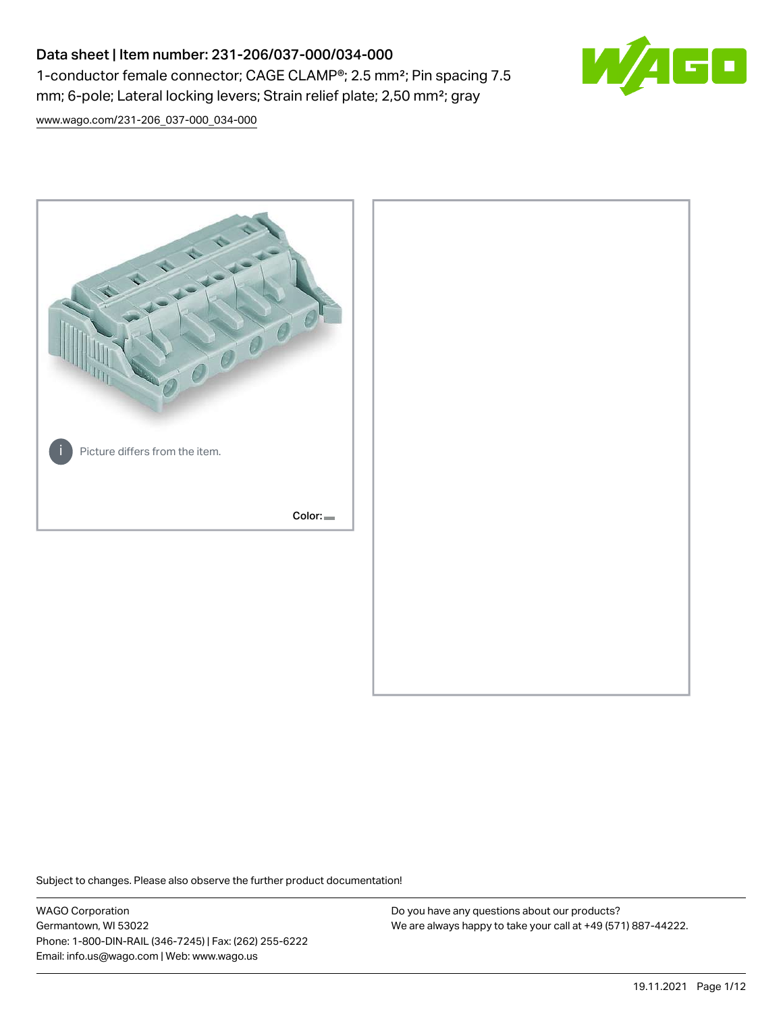# Data sheet | Item number: 231-206/037-000/034-000 1-conductor female connector; CAGE CLAMP®; 2.5 mm²; Pin spacing 7.5 mm; 6-pole; Lateral locking levers; Strain relief plate; 2,50 mm²; gray



[www.wago.com/231-206\\_037-000\\_034-000](http://www.wago.com/231-206_037-000_034-000)



Subject to changes. Please also observe the further product documentation!

WAGO Corporation Germantown, WI 53022 Phone: 1-800-DIN-RAIL (346-7245) | Fax: (262) 255-6222 Email: info.us@wago.com | Web: www.wago.us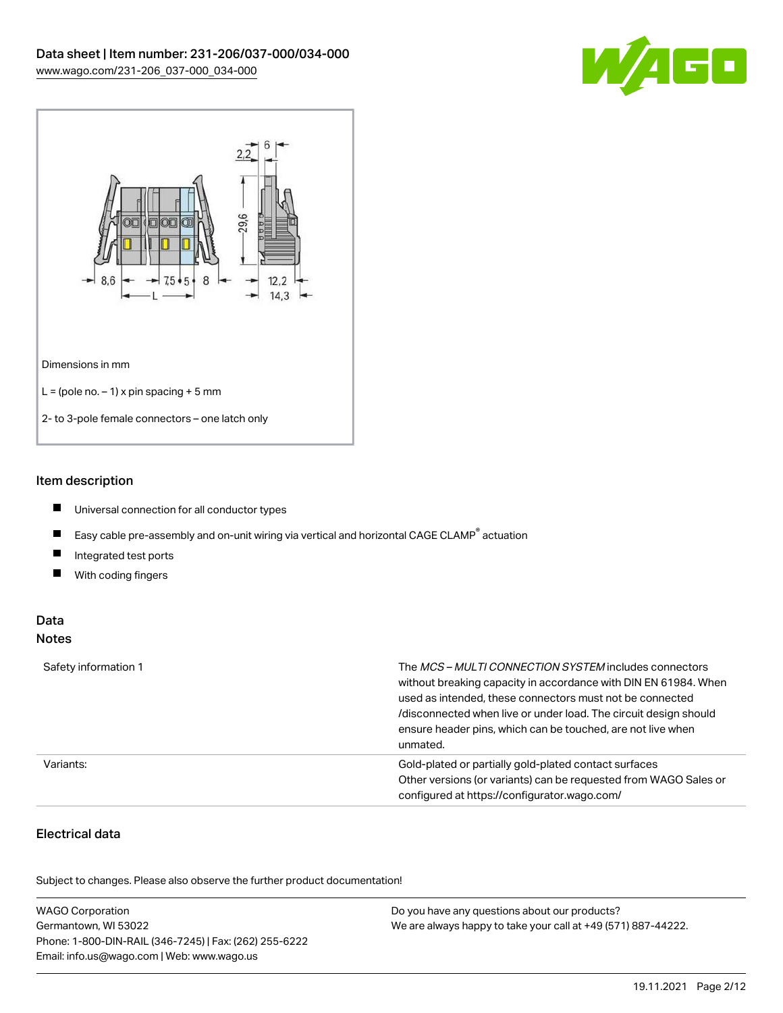



#### Item description

- $\blacksquare$ Universal connection for all conductor types
- $\blacksquare$ Easy cable pre-assembly and on-unit wiring via vertical and horizontal CAGE CLAMP<sup>®</sup> actuation
- $\blacksquare$ Integrated test ports
- $\blacksquare$ With coding fingers

#### Data Notes

| Safety information 1 | The <i>MCS – MULTI CONNECTION SYSTEM</i> includes connectors<br>without breaking capacity in accordance with DIN EN 61984. When<br>used as intended, these connectors must not be connected<br>/disconnected when live or under load. The circuit design should<br>ensure header pins, which can be touched, are not live when<br>unmated. |
|----------------------|--------------------------------------------------------------------------------------------------------------------------------------------------------------------------------------------------------------------------------------------------------------------------------------------------------------------------------------------|
| Variants:            | Gold-plated or partially gold-plated contact surfaces<br>Other versions (or variants) can be requested from WAGO Sales or<br>configured at https://configurator.wago.com/                                                                                                                                                                  |

## Electrical data

.<br>Subject to changes. Please also observe the further product documentation!

| <b>WAGO Corporation</b>                                | Do you have any questions about our products?                 |
|--------------------------------------------------------|---------------------------------------------------------------|
| Germantown, WI 53022                                   | We are always happy to take your call at +49 (571) 887-44222. |
| Phone: 1-800-DIN-RAIL (346-7245)   Fax: (262) 255-6222 |                                                               |
| Email: info.us@wago.com   Web: www.wago.us             |                                                               |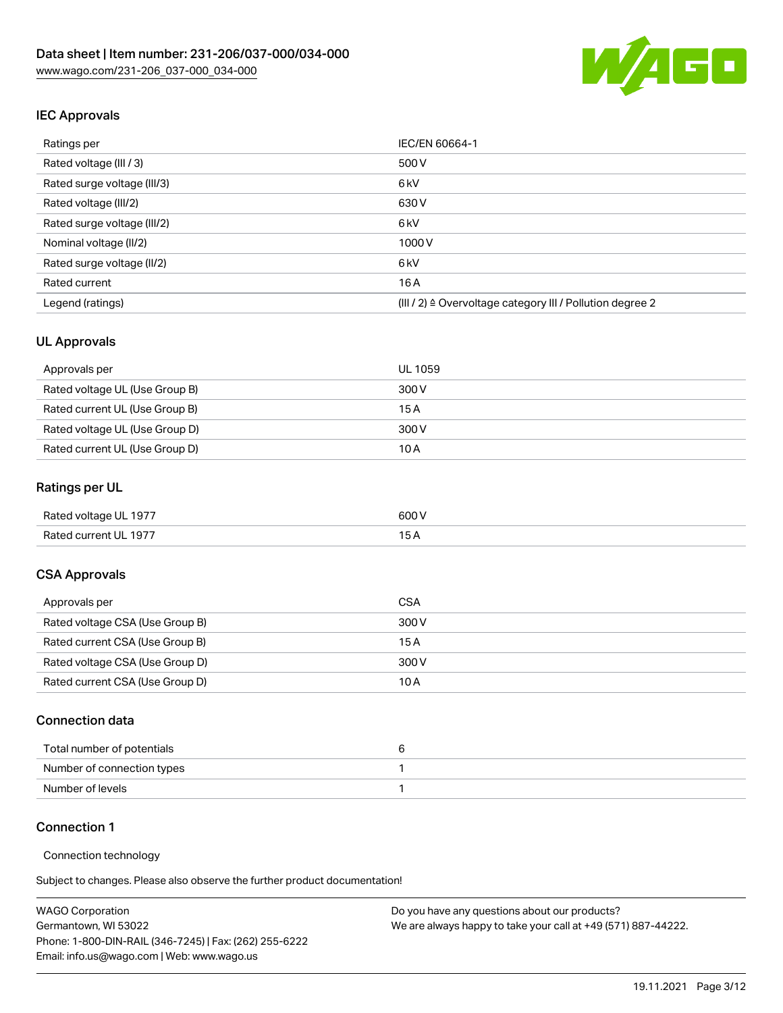

## IEC Approvals

| Ratings per                 | IEC/EN 60664-1                                            |
|-----------------------------|-----------------------------------------------------------|
| Rated voltage (III / 3)     | 500 V                                                     |
| Rated surge voltage (III/3) | 6 <sub>kV</sub>                                           |
| Rated voltage (III/2)       | 630 V                                                     |
| Rated surge voltage (III/2) | 6 <sub>kV</sub>                                           |
| Nominal voltage (II/2)      | 1000 V                                                    |
| Rated surge voltage (II/2)  | 6 <sub>kV</sub>                                           |
| Rated current               | 16A                                                       |
| Legend (ratings)            | (III / 2) ≙ Overvoltage category III / Pollution degree 2 |

#### UL Approvals

| Approvals per                  | UL 1059 |
|--------------------------------|---------|
| Rated voltage UL (Use Group B) | 300 V   |
| Rated current UL (Use Group B) | 15 A    |
| Rated voltage UL (Use Group D) | 300 V   |
| Rated current UL (Use Group D) | 10 A    |

## Ratings per UL

| Rated voltage UL 1977 | 600 V |
|-----------------------|-------|
| Rated current UL 1977 |       |

#### CSA Approvals

| Approvals per                   | CSA   |
|---------------------------------|-------|
| Rated voltage CSA (Use Group B) | 300 V |
| Rated current CSA (Use Group B) | 15 A  |
| Rated voltage CSA (Use Group D) | 300 V |
| Rated current CSA (Use Group D) | 10 A  |

#### Connection data

| Total number of potentials |  |
|----------------------------|--|
| Number of connection types |  |
| Number of levels           |  |

#### Connection 1

#### Connection technology

Subject to changes. Please also observe the further product documentation!

| <b>WAGO Corporation</b>                                | Do you have any questions about our products?                 |
|--------------------------------------------------------|---------------------------------------------------------------|
| Germantown, WI 53022                                   | We are always happy to take your call at +49 (571) 887-44222. |
| Phone: 1-800-DIN-RAIL (346-7245)   Fax: (262) 255-6222 |                                                               |
| Email: info.us@wago.com   Web: www.wago.us             |                                                               |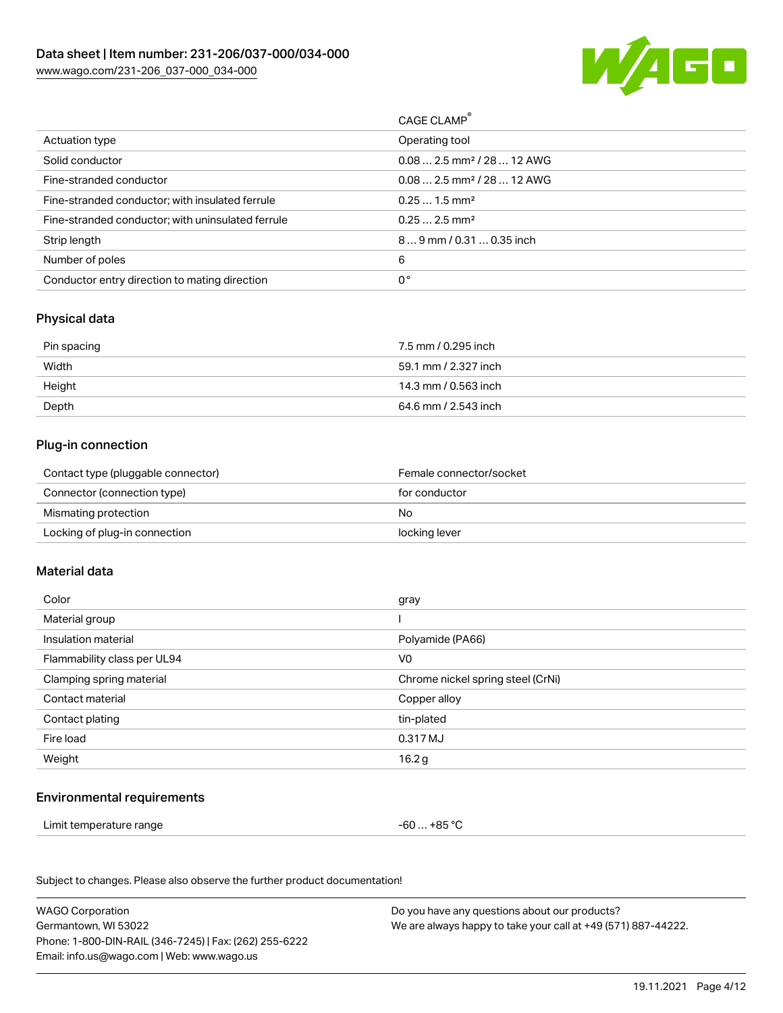

| CAGE CLAMP <sup>®</sup>                |
|----------------------------------------|
| Operating tool                         |
| $0.082.5$ mm <sup>2</sup> / 28  12 AWG |
| $0.082.5$ mm <sup>2</sup> / 28  12 AWG |
| $0.251.5$ mm <sup>2</sup>              |
| $0.252.5$ mm <sup>2</sup>              |
| 89 mm / 0.31  0.35 inch                |
| 6                                      |
| 0°                                     |
|                                        |

#### Physical data

| Pin spacing | 7.5 mm / 0.295 inch  |
|-------------|----------------------|
| Width       | 59.1 mm / 2.327 inch |
| Height      | 14.3 mm / 0.563 inch |
| Depth       | 64.6 mm / 2.543 inch |

#### Plug-in connection

| Contact type (pluggable connector) | Female connector/socket |
|------------------------------------|-------------------------|
| Connector (connection type)        | for conductor           |
| Mismating protection               | No                      |
| Locking of plug-in connection      | locking lever           |

#### Material data

| Color                       | gray                              |
|-----------------------------|-----------------------------------|
| Material group              |                                   |
| Insulation material         | Polyamide (PA66)                  |
| Flammability class per UL94 | V0                                |
| Clamping spring material    | Chrome nickel spring steel (CrNi) |
| Contact material            | Copper alloy                      |
| Contact plating             | tin-plated                        |
| Fire load                   | 0.317 MJ                          |
| Weight                      | 16.2 <sub>g</sub>                 |
|                             |                                   |

#### Environmental requirements

Limit temperature range  $-60...+85$  °C

Subject to changes. Please also observe the further product documentation!

| <b>WAGO Corporation</b>                                | Do you have any questions about our products?                 |
|--------------------------------------------------------|---------------------------------------------------------------|
| Germantown, WI 53022                                   | We are always happy to take your call at +49 (571) 887-44222. |
| Phone: 1-800-DIN-RAIL (346-7245)   Fax: (262) 255-6222 |                                                               |
| Email: info.us@wago.com   Web: www.wago.us             |                                                               |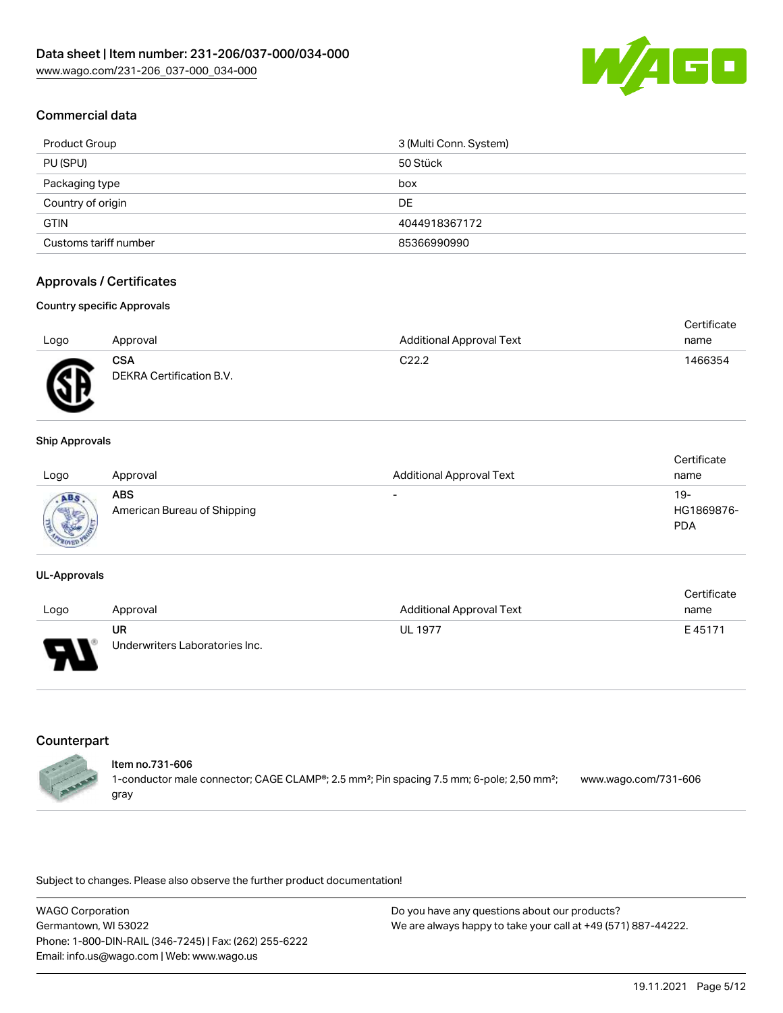

### Commercial data

| Product Group         | 3 (Multi Conn. System) |
|-----------------------|------------------------|
| PU (SPU)              | 50 Stück               |
| Packaging type        | box                    |
| Country of origin     | DE                     |
| <b>GTIN</b>           | 4044918367172          |
| Customs tariff number | 85366990990            |

## Approvals / Certificates

#### Country specific Approvals

|      |                                        |                                 | Certificate |
|------|----------------------------------------|---------------------------------|-------------|
| Logo | Approval                               | <b>Additional Approval Text</b> | name        |
| Æ    | <b>CSA</b><br>DEKRA Certification B.V. | C <sub>22.2</sub>               | 1466354     |

#### Ship Approvals

| Logo                   | Approval                           | <b>Additional Approval Text</b> | Certificate<br>name                |
|------------------------|------------------------------------|---------------------------------|------------------------------------|
| <b>Marrie</b><br>$-70$ | ABS<br>American Bureau of Shipping | $\overline{\phantom{a}}$        | $19 -$<br>HG1869876-<br><b>PDA</b> |

#### UL-Approvals

|             |                                |                                 | Certificate |
|-------------|--------------------------------|---------------------------------|-------------|
| Logo        | Approval                       | <b>Additional Approval Text</b> | name        |
|             | UR                             | <b>UL 1977</b>                  | E45171      |
| ٧<br>$\Box$ | Underwriters Laboratories Inc. |                                 |             |

## Counterpart



Subject to changes. Please also observe the further product documentation!

WAGO Corporation Germantown, WI 53022 Phone: 1-800-DIN-RAIL (346-7245) | Fax: (262) 255-6222 Email: info.us@wago.com | Web: www.wago.us Do you have any questions about our products? We are always happy to take your call at +49 (571) 887-44222.

19.11.2021 Page 5/12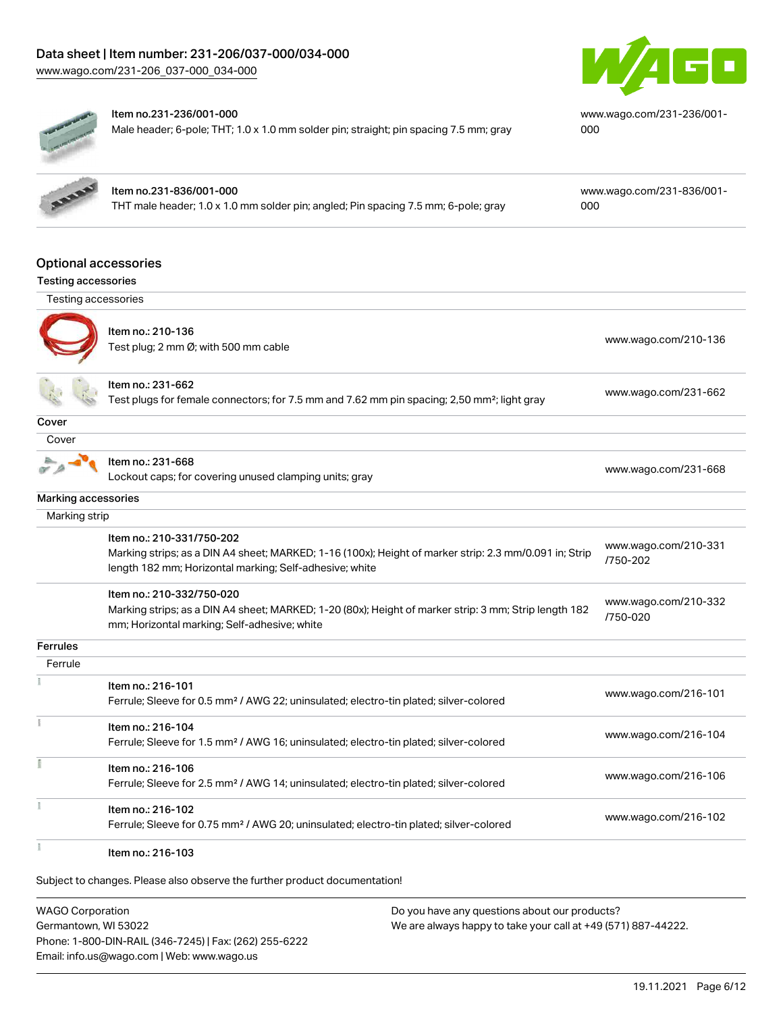[www.wago.com/231-206\\_037-000\\_034-000](http://www.wago.com/231-206_037-000_034-000)





#### Item no.231-236/001-000

Male header; 6-pole; THT; 1.0 x 1.0 mm solder pin; straight; pin spacing 7.5 mm; gray

[www.wago.com/231-236/001-](https://www.wago.com/231-236/001-000) [000](https://www.wago.com/231-236/001-000)

Item no.231-836/001-000 THT male header; 1.0 x 1.0 mm solder pin; angled; Pin spacing 7.5 mm; 6-pole; gray [www.wago.com/231-836/001-](https://www.wago.com/231-836/001-000) [000](https://www.wago.com/231-836/001-000)

#### Optional accessories

| <b>Testing accessories</b> |
|----------------------------|
|                            |

| Testing accessories |                                                                                                                                                                                                |                                  |
|---------------------|------------------------------------------------------------------------------------------------------------------------------------------------------------------------------------------------|----------------------------------|
|                     | Item no.: 210-136<br>Test plug; 2 mm Ø; with 500 mm cable                                                                                                                                      | www.wago.com/210-136             |
|                     | Item no.: 231-662<br>Test plugs for female connectors; for 7.5 mm and 7.62 mm pin spacing; 2,50 mm <sup>2</sup> ; light gray                                                                   | www.wago.com/231-662             |
| Cover               |                                                                                                                                                                                                |                                  |
| Cover               |                                                                                                                                                                                                |                                  |
|                     | Item no.: 231-668<br>Lockout caps; for covering unused clamping units; gray                                                                                                                    | www.wago.com/231-668             |
| Marking accessories |                                                                                                                                                                                                |                                  |
| Marking strip       |                                                                                                                                                                                                |                                  |
|                     | Item no.: 210-331/750-202<br>Marking strips; as a DIN A4 sheet; MARKED; 1-16 (100x); Height of marker strip: 2.3 mm/0.091 in; Strip<br>length 182 mm; Horizontal marking; Self-adhesive; white | www.wago.com/210-331<br>/750-202 |
|                     | Item no.: 210-332/750-020<br>Marking strips; as a DIN A4 sheet; MARKED; 1-20 (80x); Height of marker strip: 3 mm; Strip length 182<br>mm; Horizontal marking; Self-adhesive; white             | www.wago.com/210-332<br>/750-020 |
| <b>Ferrules</b>     |                                                                                                                                                                                                |                                  |
| Ferrule             |                                                                                                                                                                                                |                                  |
|                     | Item no.: 216-101<br>Ferrule; Sleeve for 0.5 mm <sup>2</sup> / AWG 22; uninsulated; electro-tin plated; silver-colored                                                                         | www.wago.com/216-101             |
|                     | Item no.: 216-104<br>Ferrule; Sleeve for 1.5 mm <sup>2</sup> / AWG 16; uninsulated; electro-tin plated; silver-colored                                                                         | www.wago.com/216-104             |
|                     | Item no.: 216-106<br>Ferrule; Sleeve for 2.5 mm <sup>2</sup> / AWG 14; uninsulated; electro-tin plated; silver-colored                                                                         | www.wago.com/216-106             |
|                     | Item no.: 216-102<br>Ferrule; Sleeve for 0.75 mm <sup>2</sup> / AWG 20; uninsulated; electro-tin plated; silver-colored                                                                        | www.wago.com/216-102             |
|                     | Item no.: 216-103                                                                                                                                                                              |                                  |

Subject to changes. Please also observe the further product documentation!

WAGO Corporation Germantown, WI 53022 Phone: 1-800-DIN-RAIL (346-7245) | Fax: (262) 255-6222 Email: info.us@wago.com | Web: www.wago.us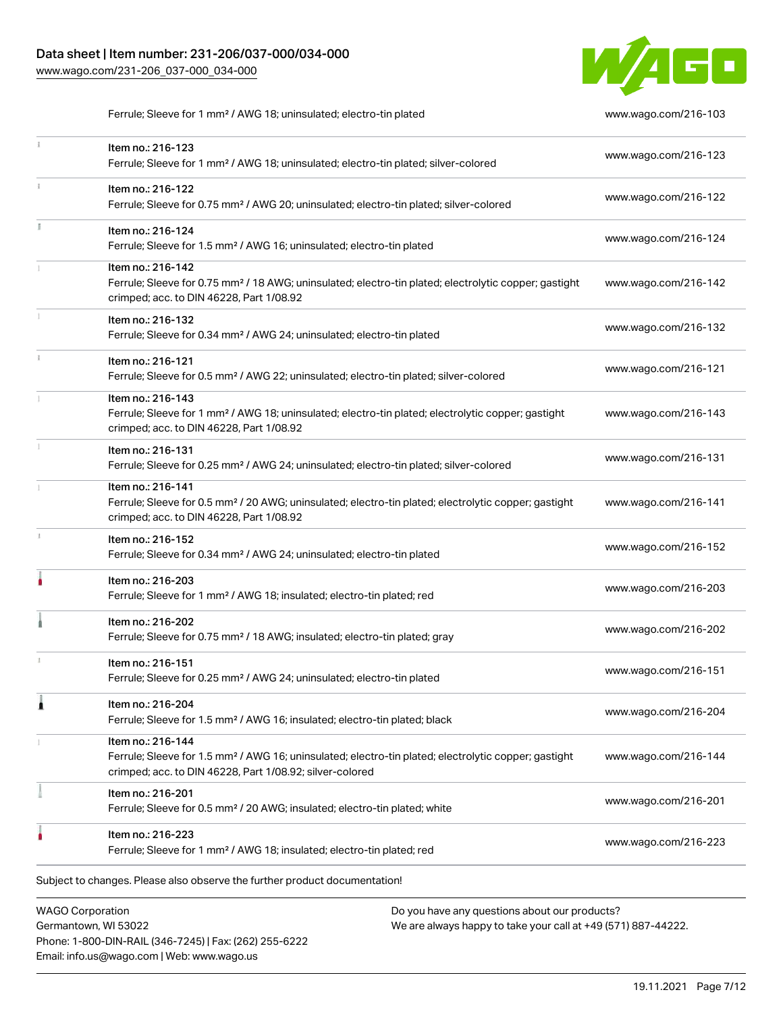Phone: 1-800-DIN-RAIL (346-7245) | Fax: (262) 255-6222

Email: info.us@wago.com | Web: www.wago.us

[www.wago.com/231-206\\_037-000\\_034-000](http://www.wago.com/231-206_037-000_034-000)



Ferrule; Sleeve for 1 mm<sup>2</sup> / AWG 18; uninsulated; electro-tin plated [www.wago.com/216-103](http://www.wago.com/216-103)

| Ferrule; Sleeve for 1 mm <sup>2</sup> / AWG 18; insulated; electro-tin plated; red<br>Item no.: 216-202<br>Ferrule; Sleeve for 0.75 mm <sup>2</sup> / 18 AWG; insulated; electro-tin plated; gray<br>Item no.: 216-151<br>Ferrule; Sleeve for 0.25 mm <sup>2</sup> / AWG 24; uninsulated; electro-tin plated<br>Item no.: 216-204<br>Ferrule; Sleeve for 1.5 mm <sup>2</sup> / AWG 16; insulated; electro-tin plated; black<br>Item no.: 216-144<br>Ferrule; Sleeve for 1.5 mm <sup>2</sup> / AWG 16; uninsulated; electro-tin plated; electrolytic copper; gastight<br>crimped; acc. to DIN 46228, Part 1/08.92; silver-colored<br>Item no.: 216-201<br>Ferrule; Sleeve for 0.5 mm <sup>2</sup> / 20 AWG; insulated; electro-tin plated; white<br>Item no.: 216-223<br>Ferrule; Sleeve for 1 mm <sup>2</sup> / AWG 18; insulated; electro-tin plated; red<br>Subject to changes. Please also observe the further product documentation! | www.wago.com/216-203<br>www.wago.com/216-202<br>www.wago.com/216-151<br>www.wago.com/216-204<br>www.wago.com/216-144<br>www.wago.com/216-201<br>www.wago.com/216-223 |
|------------------------------------------------------------------------------------------------------------------------------------------------------------------------------------------------------------------------------------------------------------------------------------------------------------------------------------------------------------------------------------------------------------------------------------------------------------------------------------------------------------------------------------------------------------------------------------------------------------------------------------------------------------------------------------------------------------------------------------------------------------------------------------------------------------------------------------------------------------------------------------------------------------------------------------------|----------------------------------------------------------------------------------------------------------------------------------------------------------------------|
|                                                                                                                                                                                                                                                                                                                                                                                                                                                                                                                                                                                                                                                                                                                                                                                                                                                                                                                                          |                                                                                                                                                                      |
|                                                                                                                                                                                                                                                                                                                                                                                                                                                                                                                                                                                                                                                                                                                                                                                                                                                                                                                                          |                                                                                                                                                                      |
|                                                                                                                                                                                                                                                                                                                                                                                                                                                                                                                                                                                                                                                                                                                                                                                                                                                                                                                                          |                                                                                                                                                                      |
|                                                                                                                                                                                                                                                                                                                                                                                                                                                                                                                                                                                                                                                                                                                                                                                                                                                                                                                                          |                                                                                                                                                                      |
|                                                                                                                                                                                                                                                                                                                                                                                                                                                                                                                                                                                                                                                                                                                                                                                                                                                                                                                                          |                                                                                                                                                                      |
|                                                                                                                                                                                                                                                                                                                                                                                                                                                                                                                                                                                                                                                                                                                                                                                                                                                                                                                                          |                                                                                                                                                                      |
|                                                                                                                                                                                                                                                                                                                                                                                                                                                                                                                                                                                                                                                                                                                                                                                                                                                                                                                                          |                                                                                                                                                                      |
| Item no.: 216-203                                                                                                                                                                                                                                                                                                                                                                                                                                                                                                                                                                                                                                                                                                                                                                                                                                                                                                                        |                                                                                                                                                                      |
| Item no.: 216-152<br>Ferrule; Sleeve for 0.34 mm <sup>2</sup> / AWG 24; uninsulated; electro-tin plated                                                                                                                                                                                                                                                                                                                                                                                                                                                                                                                                                                                                                                                                                                                                                                                                                                  | www.wago.com/216-152                                                                                                                                                 |
| Item no.: 216-141<br>Ferrule; Sleeve for 0.5 mm <sup>2</sup> / 20 AWG; uninsulated; electro-tin plated; electrolytic copper; gastight<br>crimped; acc. to DIN 46228, Part 1/08.92                                                                                                                                                                                                                                                                                                                                                                                                                                                                                                                                                                                                                                                                                                                                                        | www.wago.com/216-141                                                                                                                                                 |
| Item no.: 216-131<br>Ferrule; Sleeve for 0.25 mm <sup>2</sup> / AWG 24; uninsulated; electro-tin plated; silver-colored                                                                                                                                                                                                                                                                                                                                                                                                                                                                                                                                                                                                                                                                                                                                                                                                                  | www.wago.com/216-131                                                                                                                                                 |
| Item no.: 216-143<br>Ferrule; Sleeve for 1 mm <sup>2</sup> / AWG 18; uninsulated; electro-tin plated; electrolytic copper; gastight<br>crimped; acc. to DIN 46228, Part 1/08.92                                                                                                                                                                                                                                                                                                                                                                                                                                                                                                                                                                                                                                                                                                                                                          | www.wago.com/216-143                                                                                                                                                 |
| Item no.: 216-121<br>Ferrule; Sleeve for 0.5 mm <sup>2</sup> / AWG 22; uninsulated; electro-tin plated; silver-colored                                                                                                                                                                                                                                                                                                                                                                                                                                                                                                                                                                                                                                                                                                                                                                                                                   | www.wago.com/216-121                                                                                                                                                 |
| Item no.: 216-132<br>Ferrule; Sleeve for 0.34 mm <sup>2</sup> / AWG 24; uninsulated; electro-tin plated                                                                                                                                                                                                                                                                                                                                                                                                                                                                                                                                                                                                                                                                                                                                                                                                                                  | www.wago.com/216-132                                                                                                                                                 |
| Item no.: 216-142<br>Ferrule; Sleeve for 0.75 mm <sup>2</sup> / 18 AWG; uninsulated; electro-tin plated; electrolytic copper; gastight<br>crimped; acc. to DIN 46228, Part 1/08.92                                                                                                                                                                                                                                                                                                                                                                                                                                                                                                                                                                                                                                                                                                                                                       | www.wago.com/216-142                                                                                                                                                 |
| Item no.: 216-124<br>Ferrule; Sleeve for 1.5 mm <sup>2</sup> / AWG 16; uninsulated; electro-tin plated                                                                                                                                                                                                                                                                                                                                                                                                                                                                                                                                                                                                                                                                                                                                                                                                                                   | www.wago.com/216-124                                                                                                                                                 |
| Item no.: 216-122<br>Ferrule; Sleeve for 0.75 mm <sup>2</sup> / AWG 20; uninsulated; electro-tin plated; silver-colored                                                                                                                                                                                                                                                                                                                                                                                                                                                                                                                                                                                                                                                                                                                                                                                                                  | www.wago.com/216-122                                                                                                                                                 |
| Item no.: 216-123<br>Ferrule; Sleeve for 1 mm <sup>2</sup> / AWG 18; uninsulated; electro-tin plated; silver-colored                                                                                                                                                                                                                                                                                                                                                                                                                                                                                                                                                                                                                                                                                                                                                                                                                     | www.wago.com/216-123                                                                                                                                                 |
|                                                                                                                                                                                                                                                                                                                                                                                                                                                                                                                                                                                                                                                                                                                                                                                                                                                                                                                                          |                                                                                                                                                                      |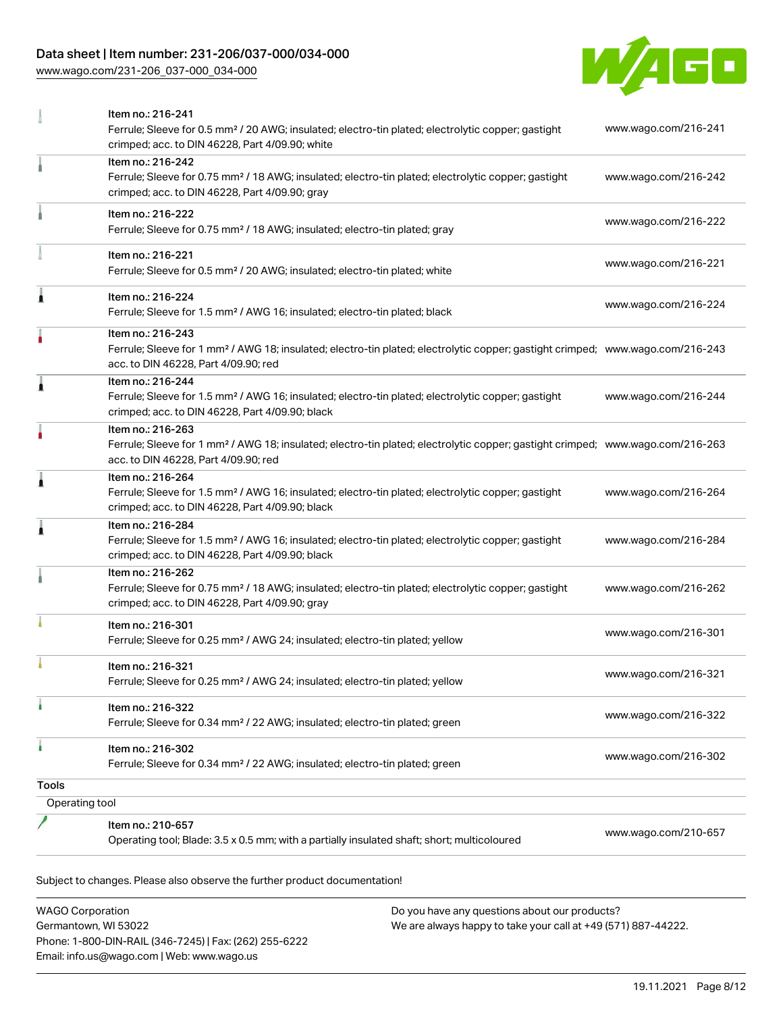[www.wago.com/231-206\\_037-000\\_034-000](http://www.wago.com/231-206_037-000_034-000)



|                | Item no.: 216-241<br>Ferrule; Sleeve for 0.5 mm <sup>2</sup> / 20 AWG; insulated; electro-tin plated; electrolytic copper; gastight<br>crimped; acc. to DIN 46228, Part 4/09.90; white                  | www.wago.com/216-241 |
|----------------|---------------------------------------------------------------------------------------------------------------------------------------------------------------------------------------------------------|----------------------|
|                | Item no.: 216-242<br>Ferrule; Sleeve for 0.75 mm <sup>2</sup> / 18 AWG; insulated; electro-tin plated; electrolytic copper; gastight<br>crimped; acc. to DIN 46228, Part 4/09.90; gray                  | www.wago.com/216-242 |
|                | Item no.: 216-222<br>Ferrule; Sleeve for 0.75 mm <sup>2</sup> / 18 AWG; insulated; electro-tin plated; gray                                                                                             | www.wago.com/216-222 |
|                | Item no.: 216-221<br>Ferrule; Sleeve for 0.5 mm <sup>2</sup> / 20 AWG; insulated; electro-tin plated; white                                                                                             | www.wago.com/216-221 |
| Â              | Item no.: 216-224<br>Ferrule; Sleeve for 1.5 mm <sup>2</sup> / AWG 16; insulated; electro-tin plated; black                                                                                             | www.wago.com/216-224 |
|                | Item no.: 216-243<br>Ferrule; Sleeve for 1 mm <sup>2</sup> / AWG 18; insulated; electro-tin plated; electrolytic copper; gastight crimped; www.wago.com/216-243<br>acc. to DIN 46228, Part 4/09.90; red |                      |
| 1              | Item no.: 216-244<br>Ferrule; Sleeve for 1.5 mm <sup>2</sup> / AWG 16; insulated; electro-tin plated; electrolytic copper; gastight<br>crimped; acc. to DIN 46228, Part 4/09.90; black                  | www.wago.com/216-244 |
| ۸              | Item no.: 216-263<br>Ferrule; Sleeve for 1 mm <sup>2</sup> / AWG 18; insulated; electro-tin plated; electrolytic copper; gastight crimped; www.wago.com/216-263<br>acc. to DIN 46228, Part 4/09.90; red |                      |
| 1              | Item no.: 216-264<br>Ferrule; Sleeve for 1.5 mm <sup>2</sup> / AWG 16; insulated; electro-tin plated; electrolytic copper; gastight<br>crimped; acc. to DIN 46228, Part 4/09.90; black                  | www.wago.com/216-264 |
| 1              | Item no.: 216-284<br>Ferrule; Sleeve for 1.5 mm <sup>2</sup> / AWG 16; insulated; electro-tin plated; electrolytic copper; gastight<br>crimped; acc. to DIN 46228, Part 4/09.90; black                  | www.wago.com/216-284 |
|                | Item no.: 216-262<br>Ferrule; Sleeve for 0.75 mm <sup>2</sup> / 18 AWG; insulated; electro-tin plated; electrolytic copper; gastight<br>crimped; acc. to DIN 46228, Part 4/09.90; gray                  | www.wago.com/216-262 |
|                | Item no.: 216-301<br>Ferrule; Sleeve for 0.25 mm <sup>2</sup> / AWG 24; insulated; electro-tin plated; yellow                                                                                           | www.wago.com/216-301 |
|                | Item no.: 216-321<br>Ferrule; Sleeve for 0.25 mm <sup>2</sup> / AWG 24; insulated; electro-tin plated; yellow                                                                                           | www.wago.com/216-321 |
|                | Item no.: 216-322<br>Ferrule; Sleeve for 0.34 mm <sup>2</sup> / 22 AWG; insulated; electro-tin plated; green                                                                                            | www.wago.com/216-322 |
| ۸              | Item no.: 216-302<br>Ferrule; Sleeve for 0.34 mm <sup>2</sup> / 22 AWG; insulated; electro-tin plated; green                                                                                            | www.wago.com/216-302 |
| <b>Tools</b>   |                                                                                                                                                                                                         |                      |
| Operating tool |                                                                                                                                                                                                         |                      |
|                | Item no.: 210-657<br>Operating tool; Blade: 3.5 x 0.5 mm; with a partially insulated shaft; short; multicoloured                                                                                        | www.wago.com/210-657 |

WAGO Corporation Germantown, WI 53022 Phone: 1-800-DIN-RAIL (346-7245) | Fax: (262) 255-6222 Email: info.us@wago.com | Web: www.wago.us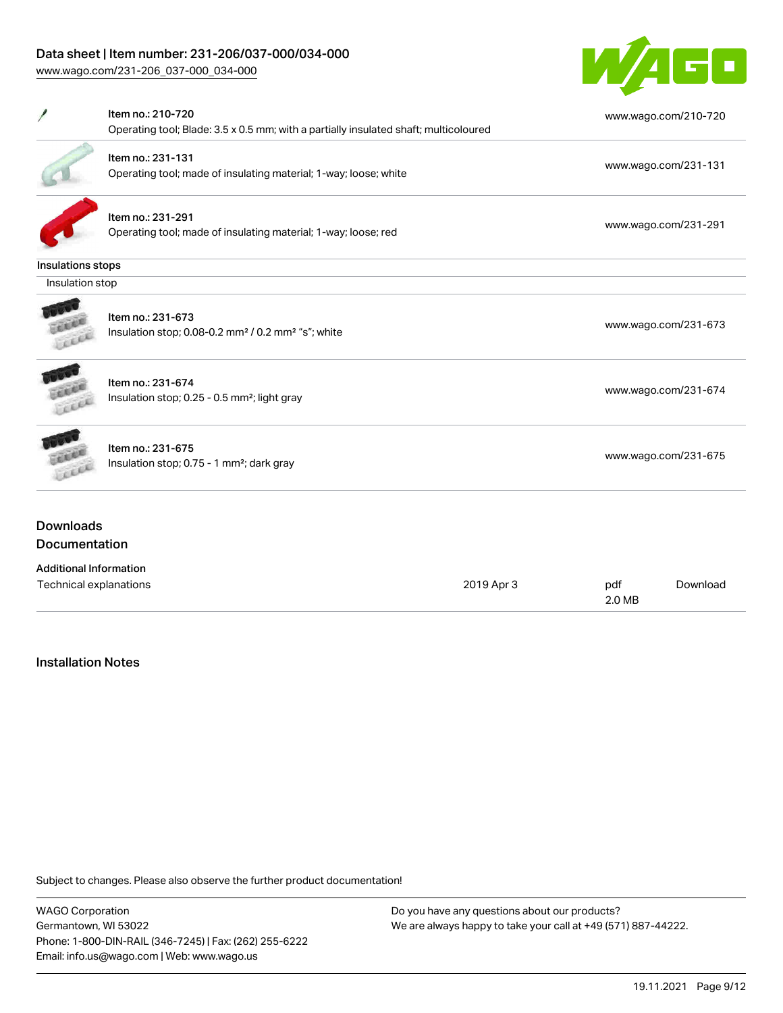[www.wago.com/231-206\\_037-000\\_034-000](http://www.wago.com/231-206_037-000_034-000)



|                                          | Item no.: 210-720<br>Operating tool; Blade: 3.5 x 0.5 mm; with a partially insulated shaft; multicoloured |            |               | www.wago.com/210-720 |  |
|------------------------------------------|-----------------------------------------------------------------------------------------------------------|------------|---------------|----------------------|--|
|                                          | Item no.: 231-131<br>Operating tool; made of insulating material; 1-way; loose; white                     |            |               | www.wago.com/231-131 |  |
|                                          | Item no.: 231-291<br>Operating tool; made of insulating material; 1-way; loose; red                       |            |               | www.wago.com/231-291 |  |
| Insulations stops                        |                                                                                                           |            |               |                      |  |
| Insulation stop                          |                                                                                                           |            |               |                      |  |
|                                          | Item no.: 231-673<br>Insulation stop; 0.08-0.2 mm <sup>2</sup> / 0.2 mm <sup>2</sup> "s"; white           |            |               | www.wago.com/231-673 |  |
|                                          | Item no.: 231-674<br>Insulation stop; 0.25 - 0.5 mm <sup>2</sup> ; light gray                             |            |               | www.wago.com/231-674 |  |
|                                          | Item no.: 231-675<br>Insulation stop; 0.75 - 1 mm <sup>2</sup> ; dark gray                                |            |               | www.wago.com/231-675 |  |
| <b>Downloads</b><br><b>Documentation</b> |                                                                                                           |            |               |                      |  |
| <b>Additional Information</b>            |                                                                                                           |            |               |                      |  |
| Technical explanations                   |                                                                                                           | 2019 Apr 3 | pdf<br>2.0 MB | Download             |  |

Installation Notes

Subject to changes. Please also observe the further product documentation!

WAGO Corporation Germantown, WI 53022 Phone: 1-800-DIN-RAIL (346-7245) | Fax: (262) 255-6222 Email: info.us@wago.com | Web: www.wago.us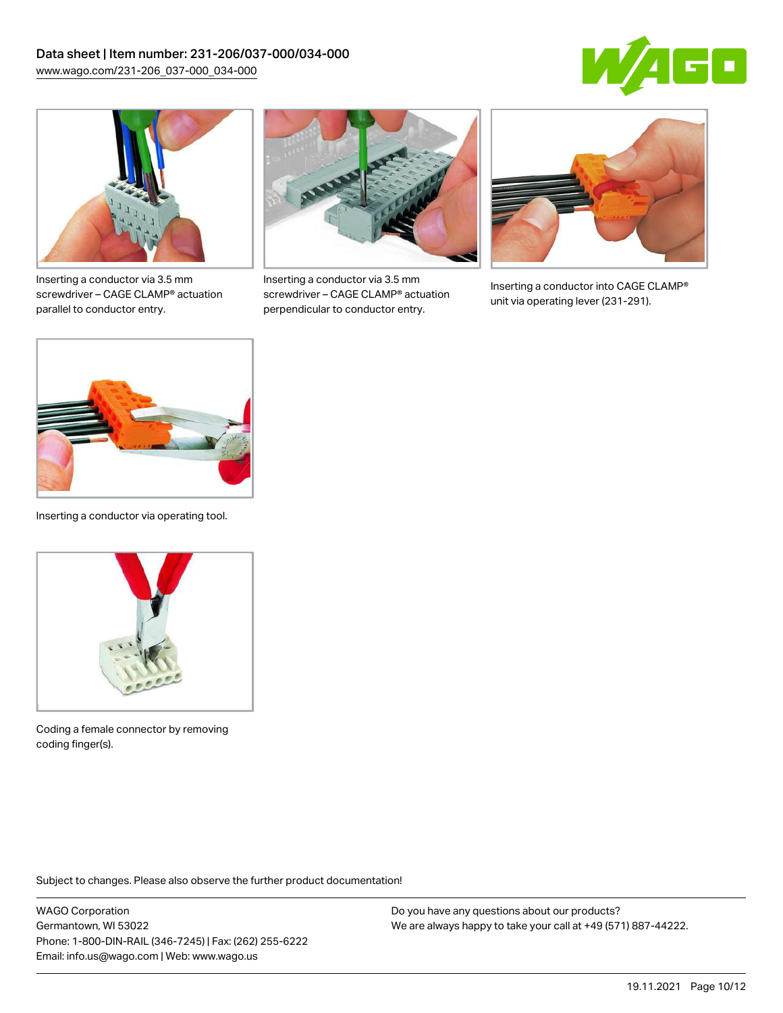



Inserting a conductor via 3.5 mm screwdriver – CAGE CLAMP® actuation parallel to conductor entry.



Inserting a conductor via 3.5 mm screwdriver – CAGE CLAMP® actuation perpendicular to conductor entry.



Inserting a conductor into CAGE CLAMP® unit via operating lever (231-291).



Inserting a conductor via operating tool.



Coding a female connector by removing coding finger(s).

Subject to changes. Please also observe the further product documentation!

WAGO Corporation Germantown, WI 53022 Phone: 1-800-DIN-RAIL (346-7245) | Fax: (262) 255-6222 Email: info.us@wago.com | Web: www.wago.us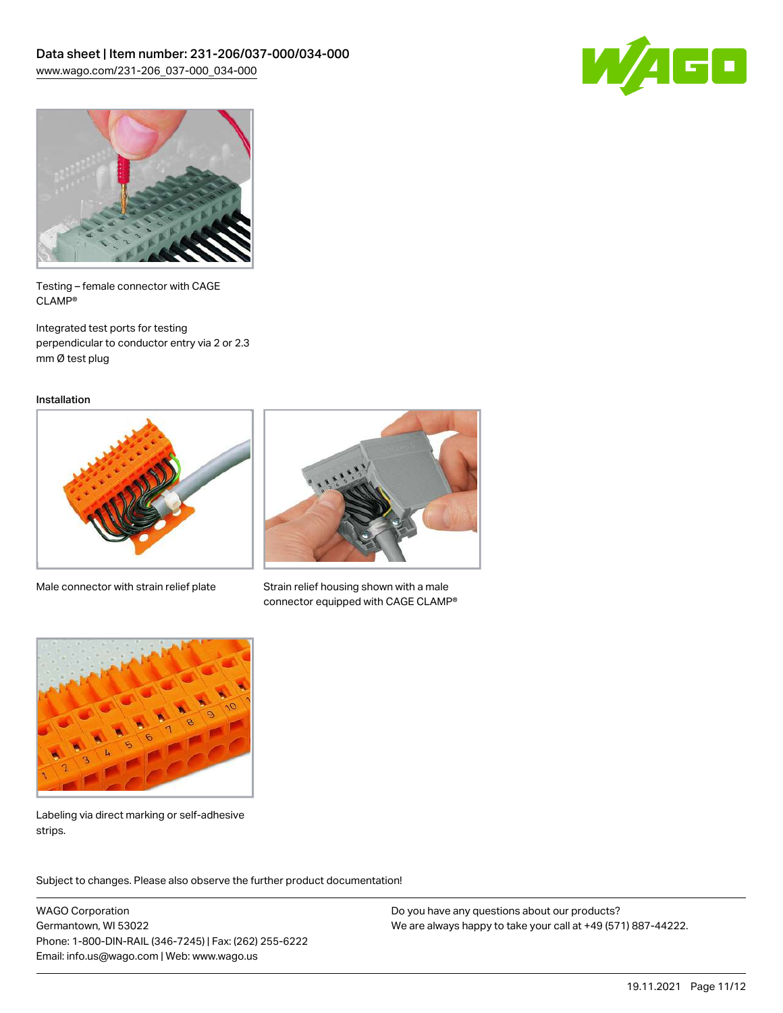



Testing – female connector with CAGE CLAMP®

Integrated test ports for testing perpendicular to conductor entry via 2 or 2.3 mm Ø test plug

Installation



Male connector with strain relief plate



Strain relief housing shown with a male connector equipped with CAGE CLAMP®



Labeling via direct marking or self-adhesive strips.

Subject to changes. Please also observe the further product documentation! Product family

WAGO Corporation Germantown, WI 53022 Phone: 1-800-DIN-RAIL (346-7245) | Fax: (262) 255-6222 Email: info.us@wago.com | Web: www.wago.us